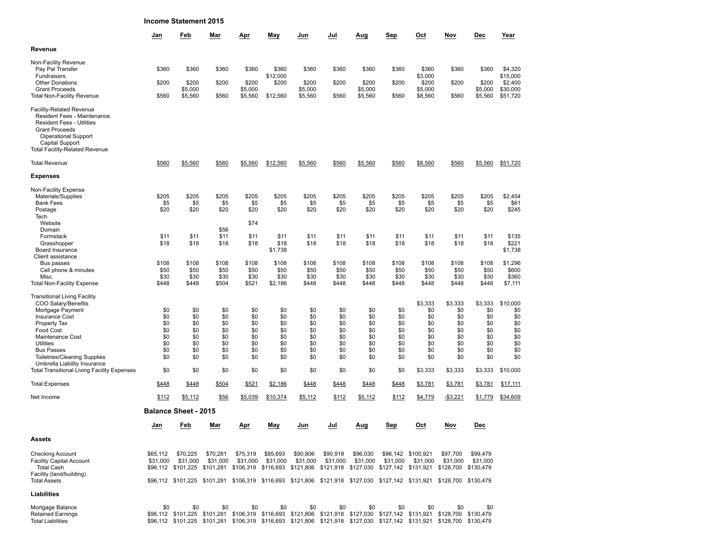| <b>Income Statement 2015</b> |  |  |  |
|------------------------------|--|--|--|
|------------------------------|--|--|--|

|                                                                                                                                                                                                                        | Jan            | Feb                         | Mar           | Apr                | May                 | Jun                | Jul            | Aug                | Sep            | Oct                                                                                                                                                                                                                                              | Nov                  | Dec                | Year                 |
|------------------------------------------------------------------------------------------------------------------------------------------------------------------------------------------------------------------------|----------------|-----------------------------|---------------|--------------------|---------------------|--------------------|----------------|--------------------|----------------|--------------------------------------------------------------------------------------------------------------------------------------------------------------------------------------------------------------------------------------------------|----------------------|--------------------|----------------------|
| Revenue                                                                                                                                                                                                                |                |                             |               |                    |                     |                    |                |                    |                |                                                                                                                                                                                                                                                  |                      |                    |                      |
| Non-Facility Revenue<br>Pay Pal Transfer<br>Fundraisers                                                                                                                                                                | \$360          | \$360                       | \$360         | \$360              | \$360<br>\$12,000   | \$360              | \$360          | \$360              | \$360          | \$360<br>\$3,000                                                                                                                                                                                                                                 | \$360                | \$360              | \$4,320<br>\$15,000  |
| <b>Other Donations</b>                                                                                                                                                                                                 | \$200          | \$200                       | \$200         | \$200              | \$200               | \$200              | \$200          | \$200              | \$200          | \$200                                                                                                                                                                                                                                            | \$200                | \$200              | \$2,400              |
| <b>Grant Proceeds</b><br><b>Total Non-Facility Revenue</b>                                                                                                                                                             | \$560          | \$5,000<br>\$5,560          | \$560         | \$5,000<br>\$5,560 | \$12,560            | \$5,000<br>\$5,560 | \$560          | \$5,000<br>\$5,560 | \$560          | \$5,000<br>\$8,560                                                                                                                                                                                                                               | \$560                | \$5,000<br>\$5,560 | \$30,000<br>\$51,720 |
| <b>Facility-Related Revenue</b><br>Resident Fees - Maintenance<br><b>Resident Fees - Utilities</b><br><b>Grant Proceeds</b><br>Oiperational Support<br><b>Capital Support</b><br><b>Total Facility-Related Revenue</b> |                |                             |               |                    |                     |                    |                |                    |                |                                                                                                                                                                                                                                                  |                      |                    |                      |
| <b>Total Revenue</b>                                                                                                                                                                                                   | \$560          | \$5,560                     | \$560         | \$5,560            | \$12,560            | \$5,560            | \$560          | \$5,560            | \$560          | \$8,560                                                                                                                                                                                                                                          | \$560                | \$5,560            | \$51,720             |
| <b>Expenses</b>                                                                                                                                                                                                        |                |                             |               |                    |                     |                    |                |                    |                |                                                                                                                                                                                                                                                  |                      |                    |                      |
| Non-Facility Expense<br>Materials/Supplies                                                                                                                                                                             | \$205          | \$205                       | \$205         | \$205              | \$205               | \$205              | \$205          | \$205              | \$205          | \$205                                                                                                                                                                                                                                            | \$205                | \$205              | \$2,454              |
| <b>Bank Fees</b>                                                                                                                                                                                                       | \$5            | \$5                         | \$5           | \$5                | \$5                 | \$5                | \$5            | \$5                | \$5            | \$5                                                                                                                                                                                                                                              | \$5                  | \$5                | \$61                 |
| Postage<br>Tech                                                                                                                                                                                                        | \$20           | \$20                        | \$20          | \$20               | \$20                | \$20               | \$20           | \$20               | \$20           | \$20                                                                                                                                                                                                                                             | \$20                 | \$20               | \$245                |
| Website                                                                                                                                                                                                                |                |                             |               | \$74               |                     |                    |                |                    |                |                                                                                                                                                                                                                                                  |                      |                    |                      |
| Domain<br>Formstack                                                                                                                                                                                                    | \$11           |                             | \$56<br>\$11  | \$11               | \$11                | \$11               | \$11           | \$11               | \$11           | \$11                                                                                                                                                                                                                                             | \$11                 | \$11               | \$135                |
| Grasshopper                                                                                                                                                                                                            | \$18           | \$11<br>\$18                | \$18          | \$18               | \$18                | \$18               | \$18           | \$18               | \$18           | \$18                                                                                                                                                                                                                                             | \$18                 | \$18               | \$221                |
| Board Insurance                                                                                                                                                                                                        |                |                             |               |                    | \$1,738             |                    |                |                    |                |                                                                                                                                                                                                                                                  |                      |                    | \$1,738              |
| Client assistance<br>Bus passes                                                                                                                                                                                        | \$108          | \$108                       | \$108         | \$108              | \$108               | \$108              | \$108          | \$108              | \$108          | \$108                                                                                                                                                                                                                                            | \$108                | \$108              | \$1,296              |
| Cell phone & minutes                                                                                                                                                                                                   | \$50           | \$50                        | \$50          | \$50               | \$50                | \$50               | \$50           | \$50               | \$50           | \$50                                                                                                                                                                                                                                             | \$50                 | \$50               | \$600                |
| Misc.<br><b>Total Non-Facility Expense</b>                                                                                                                                                                             | \$30<br>\$448  | \$30<br>\$448               | \$30<br>\$504 | \$30<br>\$521      | \$30<br>\$2,186     | \$30<br>\$448      | \$30<br>\$448  | \$30<br>\$448      | \$30<br>\$448  | \$30<br>\$448                                                                                                                                                                                                                                    | \$30<br>\$448        | \$30<br>\$448      | \$360<br>\$7,111     |
|                                                                                                                                                                                                                        |                |                             |               |                    |                     |                    |                |                    |                |                                                                                                                                                                                                                                                  |                      |                    |                      |
| <b>Transitional Living Facility</b><br>COO Salary/Benefits                                                                                                                                                             |                |                             |               |                    |                     |                    |                |                    |                | \$3,333                                                                                                                                                                                                                                          | \$3,333              | \$3,333            | \$10,000             |
| Mortgage Payment                                                                                                                                                                                                       | \$0            | \$0                         | \$0           | \$0                | \$0                 | \$0                | \$0            | \$0                | \$0            | \$0                                                                                                                                                                                                                                              | \$0                  | \$0                | \$0                  |
| <b>Insurance Cost</b>                                                                                                                                                                                                  | \$0            | \$0                         | \$0           | \$0                | \$0                 | \$0                | \$0            | \$0                | \$0            | \$0                                                                                                                                                                                                                                              | \$0                  | \$0                | \$0                  |
| Property Tax<br>Food Cost                                                                                                                                                                                              | \$0<br>\$0     | \$0<br>\$0                  | \$0<br>\$0    | \$0<br>\$0         | \$0<br>\$0          | \$0<br>\$0         | \$0<br>\$0     | \$0<br>\$0         | \$0<br>\$0     | \$0<br>\$0                                                                                                                                                                                                                                       | \$0<br>\$0           | \$0<br>\$0         | \$0<br>\$0           |
| Maintenance Cost                                                                                                                                                                                                       | \$0            | \$0                         | \$0           | \$0                | \$0                 | \$0                | \$0            | \$0                | \$0            | \$0                                                                                                                                                                                                                                              | \$0                  | \$0                | \$0                  |
| <b>Utilities</b><br><b>Bus Passes</b>                                                                                                                                                                                  | \$0<br>\$0     | \$0<br>\$0                  | \$0<br>\$0    | \$0<br>\$0         | \$0<br>\$0          | \$0<br>\$0         | \$0<br>\$0     | \$0<br>\$0         | \$0<br>\$0     | \$0<br>\$0                                                                                                                                                                                                                                       | \$0<br>\$0           | \$0<br>\$0         | \$0<br>\$0           |
| <b>Toiletries/Cleaning Supplies</b>                                                                                                                                                                                    | \$0            | \$0                         | \$0           | \$0                | \$0                 | \$0                | \$0            | \$0                | \$0            | \$0                                                                                                                                                                                                                                              | \$0                  | \$0                | \$0                  |
| Umbrella Liability Insurance                                                                                                                                                                                           |                |                             |               |                    |                     |                    |                |                    |                |                                                                                                                                                                                                                                                  |                      |                    |                      |
| <b>Total Transitional Living Facility Expenses</b>                                                                                                                                                                     | \$0            | \$0                         | \$0           | \$0                | \$0                 | \$0                | \$0            | \$0                | \$0            | \$3,333                                                                                                                                                                                                                                          | \$3,333              | \$3,333            | \$10,000             |
| <b>Total Expenses</b><br>Net Income                                                                                                                                                                                    | \$448<br>\$112 | \$448<br>\$5,112            | \$504<br>\$56 | \$521<br>\$5,039   | \$2,186<br>\$10,374 | \$448<br>\$5,112   | \$448<br>\$112 | \$448<br>\$5,112   | \$448<br>\$112 | \$3,781<br>\$4,779                                                                                                                                                                                                                               | \$3,781<br>$-$3,221$ | \$3,781<br>\$1,779 | \$17,111<br>\$34,609 |
|                                                                                                                                                                                                                        |                | <b>Balance Sheet - 2015</b> |               |                    |                     |                    |                |                    |                |                                                                                                                                                                                                                                                  |                      |                    |                      |
|                                                                                                                                                                                                                        | Jan            | Feb                         | Mar           | Apr                | May                 | Jun                | Jul            | Aug                | Sep            | Oct                                                                                                                                                                                                                                              | Nov                  | Dec                |                      |
|                                                                                                                                                                                                                        |                |                             |               |                    |                     |                    |                |                    |                |                                                                                                                                                                                                                                                  |                      |                    |                      |
| Assets                                                                                                                                                                                                                 |                |                             |               |                    |                     |                    |                |                    |                |                                                                                                                                                                                                                                                  |                      |                    |                      |
| <b>Checking Account</b>                                                                                                                                                                                                | \$65,112       | \$70,225                    | \$70,281      | \$75,319           | \$85,693            | \$90,806           | \$90,918       | \$96,030           |                | \$96,142 \$100,921                                                                                                                                                                                                                               | \$97,700             | \$99.479           |                      |
| <b>Facility Capital Account</b><br><b>Total Cash</b>                                                                                                                                                                   | \$31,000       | \$31,000                    | \$31,000      | \$31,000           | \$31,000            | \$31,000           | \$31,000       | \$31,000           | \$31,000       | \$31,000<br>\$96,112 \$101,225 \$101,281 \$106,319 \$116,693 \$121,806 \$121,918 \$127,030 \$127,142 \$131,921 \$128,700 \$130,479                                                                                                               | \$31,000             | \$31,000           |                      |
| Facility (land/building)                                                                                                                                                                                               |                |                             |               |                    |                     |                    |                |                    |                |                                                                                                                                                                                                                                                  |                      |                    |                      |
| <b>Total Assets</b>                                                                                                                                                                                                    |                |                             |               |                    |                     |                    |                |                    |                | \$96,112 \$101,225 \$101,281 \$106,319 \$116,693 \$121,806 \$121,918 \$127,030 \$127,142 \$131,921 \$128,700 \$130,479                                                                                                                           |                      |                    |                      |
| Liabilities                                                                                                                                                                                                            |                |                             |               |                    |                     |                    |                |                    |                |                                                                                                                                                                                                                                                  |                      |                    |                      |
| Mortgage Balance                                                                                                                                                                                                       | \$0            | \$0                         | \$0           | \$0                | \$0                 | \$0                | \$0            | \$0                | \$0            | \$0                                                                                                                                                                                                                                              | \$0                  | \$0                |                      |
| <b>Retained Earnings</b><br><b>Total Liabilities</b>                                                                                                                                                                   |                |                             |               |                    |                     |                    |                |                    |                | \$96,112 \$101,225 \$101,281 \$106,319 \$116,693 \$121,806 \$121,918 \$127,030 \$127,142 \$131,921 \$128,700 \$130,479<br>\$96,112 \$101,225 \$101,281 \$106,319 \$116,693 \$121,806 \$121,918 \$127,030 \$127,142 \$131,921 \$128,700 \$130,479 |                      |                    |                      |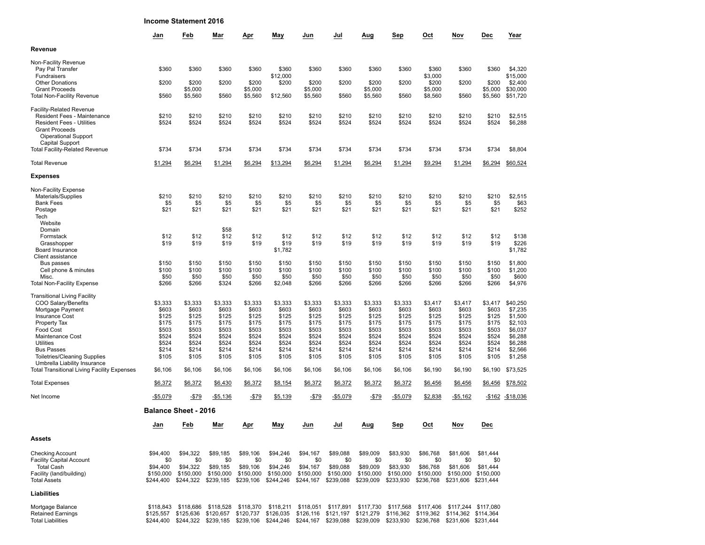|                                                                                   |                        | <b>Income Statement 2016</b> |                                                                                                                         |                        |                        |                        |                                                             |                        |                        |                                         |                 |                                  |                      |
|-----------------------------------------------------------------------------------|------------------------|------------------------------|-------------------------------------------------------------------------------------------------------------------------|------------------------|------------------------|------------------------|-------------------------------------------------------------|------------------------|------------------------|-----------------------------------------|-----------------|----------------------------------|----------------------|
|                                                                                   | Jan                    | Feb                          | Mar                                                                                                                     | Apr                    | May                    | Jun                    | Jul                                                         | Aug                    | Sep                    | Oct                                     | Nov             | Dec                              | Year                 |
| Revenue                                                                           |                        |                              |                                                                                                                         |                        |                        |                        |                                                             |                        |                        |                                         |                 |                                  |                      |
| Non-Facility Revenue<br>Pay Pal Transfer                                          | \$360                  | \$360                        | \$360                                                                                                                   | \$360                  | \$360                  | \$360                  | \$360                                                       | \$360                  | \$360                  | \$360                                   | \$360           | \$360                            | \$4,320              |
| Fundraisers<br><b>Other Donations</b>                                             | \$200                  | \$200                        | \$200                                                                                                                   | \$200                  | \$12,000<br>\$200      | \$200                  | \$200                                                       | \$200                  | \$200                  | \$3,000<br>\$200                        | \$200           | \$200                            | \$15,000<br>\$2,400  |
| <b>Grant Proceeds</b><br><b>Total Non-Facility Revenue</b>                        | \$560                  | \$5,000<br>\$5,560           | \$560                                                                                                                   | \$5,000<br>\$5,560     | \$12,560               | \$5,000<br>\$5,560     | \$560                                                       | \$5,000<br>\$5,560     | \$560                  | \$5,000<br>\$8,560                      | \$560           | \$5,000<br>\$5,560               | \$30,000<br>\$51,720 |
| <b>Facility-Related Revenue</b><br>Resident Fees - Maintenance                    | \$210                  | \$210                        | \$210                                                                                                                   | \$210                  | \$210                  | \$210                  | \$210                                                       | \$210                  | \$210                  | \$210                                   | \$210           | \$210                            | \$2,515              |
| <b>Resident Fees - Utilities</b><br><b>Grant Proceeds</b><br>Oiperational Support | \$524                  | \$524                        | \$524                                                                                                                   | \$524                  | \$524                  | \$524                  | \$524                                                       | \$524                  | \$524                  | \$524                                   | \$524           | \$524                            | \$6,288              |
| Capital Support<br><b>Total Facility-Related Revenue</b>                          | \$734                  | \$734                        | \$734                                                                                                                   | \$734                  | \$734                  | \$734                  | \$734                                                       | \$734                  | \$734                  | \$734                                   | \$734           | \$734                            | \$8,804              |
| <b>Total Revenue</b>                                                              | \$1,294                | \$6,294                      | \$1,294                                                                                                                 | \$6,294                | \$13,294               | \$6,294                | \$1,294                                                     | \$6,294                | \$1,294                | \$9,294                                 | \$1,294         | \$6,294                          | \$60,524             |
| <b>Expenses</b>                                                                   |                        |                              |                                                                                                                         |                        |                        |                        |                                                             |                        |                        |                                         |                 |                                  |                      |
| Non-Facility Expense                                                              |                        |                              |                                                                                                                         |                        |                        |                        |                                                             |                        |                        |                                         |                 |                                  |                      |
| Materials/Supplies<br><b>Bank Fees</b>                                            | \$210<br>\$5           | \$210<br>\$5                 | \$210<br>\$5                                                                                                            | \$210<br>\$5           | \$210<br>\$5           | \$210<br>\$5           | \$210<br>\$5                                                | \$210<br>\$5           | \$210<br>\$5           | \$210<br>\$5                            | \$210<br>\$5    | \$210<br>\$5                     | \$2,515<br>\$63      |
| Postage                                                                           | \$21                   | \$21                         | \$21                                                                                                                    | \$21                   | \$21                   | \$21                   | \$21                                                        | \$21                   | \$21                   | \$21                                    | \$21            | \$21                             | \$252                |
| Tech<br>Website                                                                   |                        |                              |                                                                                                                         |                        |                        |                        |                                                             |                        |                        |                                         |                 |                                  |                      |
| Domain                                                                            |                        |                              | \$58                                                                                                                    |                        |                        |                        |                                                             |                        |                        |                                         |                 |                                  |                      |
| Formstack                                                                         | \$12                   | \$12                         | \$12                                                                                                                    | \$12                   | \$12                   | \$12                   | \$12                                                        | \$12                   | \$12                   | \$12                                    | \$12            | \$12                             | \$138                |
| Grasshopper<br>Board Insurance<br>Client assistance                               | \$19                   | \$19                         | \$19                                                                                                                    | \$19                   | \$19<br>\$1,782        | \$19                   | \$19                                                        | \$19                   | \$19                   | \$19                                    | \$19            | \$19                             | \$226<br>\$1,782     |
| Bus passes                                                                        | \$150                  | \$150                        | \$150                                                                                                                   | \$150                  | \$150                  | \$150                  | \$150                                                       | \$150                  | \$150                  | \$150                                   | \$150           | \$150                            | \$1,800              |
| Cell phone & minutes<br>Misc.                                                     | \$100                  | \$100<br>\$50                | \$100                                                                                                                   | \$100<br>\$50          | \$100                  | \$100<br>\$50          | \$100                                                       | \$100                  | \$100                  | \$100                                   | \$100           | \$100                            | \$1,200<br>\$600     |
| <b>Total Non-Facility Expense</b>                                                 | \$50<br>\$266          | \$266                        | \$50<br>\$324                                                                                                           | \$266                  | \$50<br>\$2,048        | \$266                  | \$50<br>\$266                                               | \$50<br>\$266          | \$50<br>\$266          | \$50<br>\$266                           | \$50<br>\$266   | \$50<br>\$266                    | \$4,976              |
| <b>Transitional Living Facility</b>                                               |                        |                              |                                                                                                                         |                        |                        |                        |                                                             |                        |                        |                                         |                 |                                  |                      |
| COO Salary/Benefits                                                               | \$3,333                | \$3,333                      | \$3,333                                                                                                                 | \$3,333                | \$3,333                | \$3,333                | \$3,333                                                     | \$3,333                | \$3,333                | \$3,417                                 | \$3,417         | \$3,417                          | \$40,250             |
| Mortgage Payment<br><b>Insurance Cost</b>                                         | \$603<br>\$125         | \$603<br>\$125               | \$603<br>\$125                                                                                                          | \$603<br>\$125         | \$603<br>\$125         | \$603<br>\$125         | \$603<br>\$125                                              | \$603<br>\$125         | \$603<br>\$125         | \$603<br>\$125                          | \$603<br>\$125  | \$603<br>\$125                   | \$7,235<br>\$1,500   |
| Property Tax                                                                      | \$175                  | \$175                        | \$175                                                                                                                   | \$175                  | \$175                  | \$175                  | \$175                                                       | \$175                  | \$175                  | \$175                                   | \$175           | \$175                            | \$2,103              |
| <b>Food Cost</b>                                                                  | \$503                  | \$503                        | \$503                                                                                                                   | \$503                  | \$503                  | \$503                  | \$503                                                       | \$503                  | \$503                  | \$503                                   | \$503           | \$503                            | \$6,037              |
| Maintenance Cost                                                                  | \$524                  | \$524                        | \$524                                                                                                                   | \$524                  | \$524                  | \$524                  | \$524                                                       | \$524                  | \$524                  | \$524                                   | \$524           | \$524                            | \$6,288              |
| <b>Utilities</b>                                                                  | \$524                  | \$524                        | \$524                                                                                                                   | \$524                  | \$524                  | \$524                  | \$524                                                       | \$524                  | \$524                  | \$524                                   | \$524           | \$524                            | \$6,288              |
| <b>Bus Passes</b>                                                                 | \$214                  | \$214                        | \$214                                                                                                                   | \$214                  | \$214                  | \$214                  | \$214                                                       | \$214                  | \$214                  | \$214                                   | \$214           | \$214                            | \$2,566              |
| <b>Toiletries/Cleaning Supplies</b><br>Umbrella Liability Insurance               | \$105                  | \$105                        | \$105                                                                                                                   | \$105                  | \$105                  | \$105                  | \$105                                                       | \$105                  | \$105                  | \$105                                   | \$105           | \$105                            | \$1,258              |
| <b>Total Transitional Living Facility Expenses</b>                                | \$6,106                | \$6,106                      | \$6,106                                                                                                                 | \$6,106                | \$6,106                | \$6,106                | \$6,106                                                     | \$6,106                | \$6,106                | \$6,190                                 | \$6,190         | \$6,190                          | \$73,525             |
| <b>Total Expenses</b>                                                             | \$6,372                | \$6,372                      | \$6,430                                                                                                                 | \$6,372                | \$8,154                | \$6,372                | \$6,372                                                     | \$6,372                | \$6,372                | \$6,456                                 | \$6,456         | \$6,456                          | \$78,502             |
| Net Income                                                                        | $-$5,079$              | $-$ \$79                     | $-$5,136$                                                                                                               | $-$79$                 | \$5,139                | $-$ \$79               | $-$5,079$                                                   | $-$ \$79               | $-$5,079$              | \$2,838                                 | $-$5,162$       |                                  | $-$162 - $18,036$    |
|                                                                                   |                        | <b>Balance Sheet - 2016</b>  |                                                                                                                         |                        |                        |                        |                                                             |                        |                        |                                         |                 |                                  |                      |
|                                                                                   | Jan                    | Feb                          | Mar                                                                                                                     | <u>Apr</u>             | May                    | Jun                    | Jul                                                         | Aug                    | Sep                    | Oct                                     | Nov             | Dec                              |                      |
| Assets                                                                            |                        |                              |                                                                                                                         |                        |                        |                        |                                                             |                        |                        |                                         |                 |                                  |                      |
| <b>Checking Account</b><br><b>Facility Capital Account</b>                        | \$94,400<br>\$0        | \$94,322<br>\$0              | \$89,185<br>\$0                                                                                                         | \$89,106<br>\$0        | \$94,246<br>\$0        | \$94,167<br>\$0        | \$89,088<br>\$0                                             | \$89,009<br>\$0        | \$83,930<br>\$0        | \$86,768<br>\$0                         | \$81,606<br>\$0 | \$81,444<br>\$0                  |                      |
| <b>Total Cash</b>                                                                 | \$94,400               | \$94,322                     | \$89,185                                                                                                                | \$89,106               | \$94,246               | \$94,167               | \$89,088                                                    | \$89,009               | \$83,930               | \$86,768                                | \$81,606        | \$81,444                         |                      |
| Facility (land/building)<br><b>Total Assets</b>                                   | \$150,000<br>\$244,400 | \$150,000<br>\$244,322       | \$150,000<br>\$239,185                                                                                                  | \$150,000<br>\$239,106 | \$150,000<br>\$244,246 | \$150,000<br>\$244,167 | \$150,000<br>\$239,088                                      | \$150,000<br>\$239,009 | \$150,000<br>\$233,930 | \$150,000<br>\$236,768                  | \$150,000       | \$150,000<br>\$231,606 \$231,444 |                      |
| Liabilities                                                                       |                        |                              |                                                                                                                         |                        |                        |                        |                                                             |                        |                        |                                         |                 |                                  |                      |
| Mortgage Balance                                                                  | \$118,843              | \$118,686                    | \$118,528                                                                                                               | \$118.370              |                        |                        | \$118,211 \$118,051 \$117,891 \$117,730                     |                        | \$117,568              | \$117,406                               |                 | \$117,244 \$117,080              |                      |
| <b>Retained Earnings</b>                                                          |                        | \$125,557 \$125,636          |                                                                                                                         |                        |                        |                        | \$120,657 \$120,737 \$126,035 \$126,116 \$121,197 \$121,279 |                        |                        | \$116,362 \$119,362 \$114,362 \$114,364 |                 |                                  |                      |
| <b>Total Liabilities</b>                                                          |                        |                              | \$244,400 \$244,322 \$239,185 \$239,106 \$244,246 \$244,167 \$239,088 \$239,009 \$233,930 \$236,768 \$231,606 \$231,444 |                        |                        |                        |                                                             |                        |                        |                                         |                 |                                  |                      |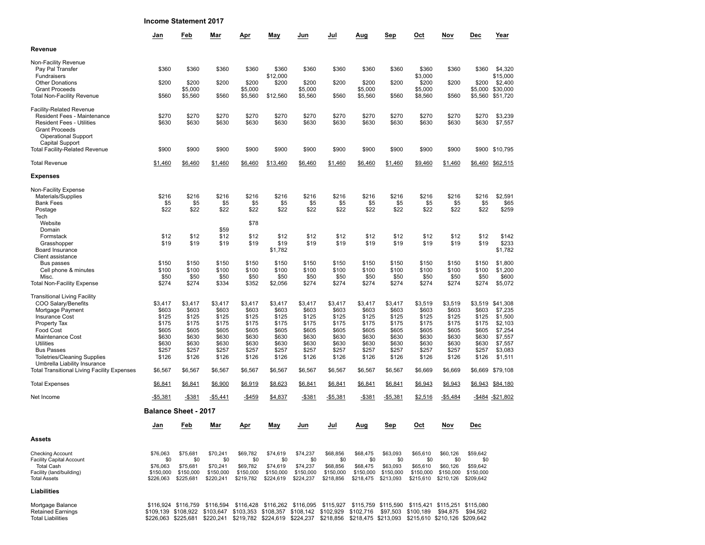**Income Statement 2017**

|                                                                                                                                                                                                                                                                                                                         | Jan                                                                                        | Feb                                                                                                                                | Mar                                                                                        | Apr                                                                                        | May                                                                                        | Jun                                                                                        | Jul                                                                                        | Aug                                                                                        | Sep                                                                                        | Oct                                                                                        | Nov                                                                                        | Dec                                                                                        | Year                                                                                                         |
|-------------------------------------------------------------------------------------------------------------------------------------------------------------------------------------------------------------------------------------------------------------------------------------------------------------------------|--------------------------------------------------------------------------------------------|------------------------------------------------------------------------------------------------------------------------------------|--------------------------------------------------------------------------------------------|--------------------------------------------------------------------------------------------|--------------------------------------------------------------------------------------------|--------------------------------------------------------------------------------------------|--------------------------------------------------------------------------------------------|--------------------------------------------------------------------------------------------|--------------------------------------------------------------------------------------------|--------------------------------------------------------------------------------------------|--------------------------------------------------------------------------------------------|--------------------------------------------------------------------------------------------|--------------------------------------------------------------------------------------------------------------|
| Revenue                                                                                                                                                                                                                                                                                                                 |                                                                                            |                                                                                                                                    |                                                                                            |                                                                                            |                                                                                            |                                                                                            |                                                                                            |                                                                                            |                                                                                            |                                                                                            |                                                                                            |                                                                                            |                                                                                                              |
| Non-Facility Revenue<br>Pay Pal Transfer<br>Fundraisers                                                                                                                                                                                                                                                                 | \$360                                                                                      | \$360                                                                                                                              | \$360                                                                                      | \$360                                                                                      | \$360<br>\$12,000                                                                          | \$360                                                                                      | \$360                                                                                      | \$360                                                                                      | \$360                                                                                      | \$360<br>\$3,000                                                                           | \$360                                                                                      | \$360                                                                                      | \$4,320<br>\$15,000                                                                                          |
| <b>Other Donations</b>                                                                                                                                                                                                                                                                                                  | \$200                                                                                      | \$200                                                                                                                              | \$200                                                                                      | \$200                                                                                      | \$200                                                                                      | \$200                                                                                      | \$200                                                                                      | \$200                                                                                      | \$200                                                                                      | \$200                                                                                      | \$200                                                                                      | \$200                                                                                      | \$2,400                                                                                                      |
| <b>Grant Proceeds</b><br><b>Total Non-Facility Revenue</b>                                                                                                                                                                                                                                                              | \$560                                                                                      | \$5,000<br>\$5,560                                                                                                                 | \$560                                                                                      | \$5,000<br>\$5,560                                                                         | \$12,560                                                                                   | \$5,000<br>\$5,560                                                                         | \$560                                                                                      | \$5,000<br>\$5,560                                                                         | \$560                                                                                      | \$5,000<br>\$8,560                                                                         | \$560                                                                                      | \$5,000<br>\$5,560                                                                         | \$30,000<br>\$51,720                                                                                         |
| <b>Facility-Related Revenue</b><br>Resident Fees - Maintenance<br><b>Resident Fees - Utilities</b><br><b>Grant Proceeds</b><br>Oiperational Support                                                                                                                                                                     | \$270<br>\$630                                                                             | \$270<br>\$630                                                                                                                     | \$270<br>\$630                                                                             | \$270<br>\$630                                                                             | \$270<br>\$630                                                                             | \$270<br>\$630                                                                             | \$270<br>\$630                                                                             | \$270<br>\$630                                                                             | \$270<br>\$630                                                                             | \$270<br>\$630                                                                             | \$270<br>\$630                                                                             | \$270<br>\$630                                                                             | \$3,239<br>\$7,557                                                                                           |
| Capital Support<br><b>Total Facility-Related Revenue</b>                                                                                                                                                                                                                                                                | \$900                                                                                      | \$900                                                                                                                              | \$900                                                                                      | \$900                                                                                      | \$900                                                                                      | \$900                                                                                      | \$900                                                                                      | \$900                                                                                      | \$900                                                                                      | \$900                                                                                      | \$900                                                                                      | \$900                                                                                      | \$10,795                                                                                                     |
| <b>Total Revenue</b>                                                                                                                                                                                                                                                                                                    | \$1,460                                                                                    | \$6,460                                                                                                                            | \$1,460                                                                                    | \$6,460                                                                                    | \$13,460                                                                                   | \$6,460                                                                                    | \$1,460                                                                                    | \$6,460                                                                                    | \$1,460                                                                                    | \$9,460                                                                                    | \$1,460                                                                                    |                                                                                            | \$6,460 \$62,515                                                                                             |
| <b>Expenses</b>                                                                                                                                                                                                                                                                                                         |                                                                                            |                                                                                                                                    |                                                                                            |                                                                                            |                                                                                            |                                                                                            |                                                                                            |                                                                                            |                                                                                            |                                                                                            |                                                                                            |                                                                                            |                                                                                                              |
| Non-Facility Expense<br>Materials/Supplies<br><b>Bank Fees</b><br>Postage<br>Tech                                                                                                                                                                                                                                       | \$216<br>\$5<br>\$22                                                                       | \$216<br>\$5<br>\$22                                                                                                               | \$216<br>\$5<br>\$22                                                                       | \$216<br>\$5<br>\$22                                                                       | \$216<br>\$5<br>\$22                                                                       | \$216<br>\$5<br>\$22                                                                       | \$216<br>\$5<br>\$22                                                                       | \$216<br>\$5<br>\$22                                                                       | \$216<br>\$5<br>\$22                                                                       | \$216<br>\$5<br>\$22                                                                       | \$216<br>\$5<br>\$22                                                                       | \$216<br>\$5<br>\$22                                                                       | \$2,591<br>\$65<br>\$259                                                                                     |
| Website<br>Domain                                                                                                                                                                                                                                                                                                       |                                                                                            |                                                                                                                                    | \$59                                                                                       | \$78                                                                                       |                                                                                            |                                                                                            |                                                                                            |                                                                                            |                                                                                            |                                                                                            |                                                                                            |                                                                                            |                                                                                                              |
| Formstack<br>Grasshopper<br>Board Insurance<br>Client assistance                                                                                                                                                                                                                                                        | \$12<br>\$19                                                                               | \$12<br>\$19                                                                                                                       | \$12<br>\$19                                                                               | \$12<br>\$19                                                                               | \$12<br>\$19<br>\$1,782                                                                    | \$12<br>\$19                                                                               | \$12<br>\$19                                                                               | \$12<br>\$19                                                                               | \$12<br>\$19                                                                               | \$12<br>\$19                                                                               | \$12<br>\$19                                                                               | \$12<br>\$19                                                                               | \$142<br>\$233<br>\$1,782                                                                                    |
| Bus passes<br>Cell phone & minutes<br>Misc.                                                                                                                                                                                                                                                                             | \$150<br>\$100<br>\$50                                                                     | \$150<br>\$100<br>\$50                                                                                                             | \$150<br>\$100<br>\$50                                                                     | \$150<br>\$100<br>\$50                                                                     | \$150<br>\$100<br>\$50                                                                     | \$150<br>\$100<br>\$50                                                                     | \$150<br>\$100<br>\$50                                                                     | \$150<br>\$100<br>\$50                                                                     | \$150<br>\$100<br>\$50                                                                     | \$150<br>\$100<br>\$50                                                                     | \$150<br>\$100<br>\$50                                                                     | \$150<br>\$100<br>\$50                                                                     | \$1,800<br>\$1,200<br>\$600                                                                                  |
| <b>Total Non-Facility Expense</b>                                                                                                                                                                                                                                                                                       | \$274                                                                                      | \$274                                                                                                                              | \$334                                                                                      | \$352                                                                                      | \$2,056                                                                                    | \$274                                                                                      | \$274                                                                                      | \$274                                                                                      | \$274                                                                                      | \$274                                                                                      | \$274                                                                                      | \$274                                                                                      | \$5,072                                                                                                      |
| <b>Transitional Living Facility</b><br>COO Salary/Benefits<br>Mortgage Payment<br>Insurance Cost<br>Property Tax<br>Food Cost<br>Maintenance Cost<br><b>Utilities</b><br><b>Bus Passes</b><br><b>Toiletries/Cleaning Supplies</b><br>Umbrella Liability Insurance<br><b>Total Transitional Living Facility Expenses</b> | \$3,417<br>\$603<br>\$125<br>\$175<br>\$605<br>\$630<br>\$630<br>\$257<br>\$126<br>\$6,567 | \$3,417<br>\$603<br>\$125<br>\$175<br>\$605<br>\$630<br>\$630<br>\$257<br>\$126<br>\$6,567                                         | \$3,417<br>\$603<br>\$125<br>\$175<br>\$605<br>\$630<br>\$630<br>\$257<br>\$126<br>\$6,567 | \$3,417<br>\$603<br>\$125<br>\$175<br>\$605<br>\$630<br>\$630<br>\$257<br>\$126<br>\$6,567 | \$3,417<br>\$603<br>\$125<br>\$175<br>\$605<br>\$630<br>\$630<br>\$257<br>\$126<br>\$6,567 | \$3,417<br>\$603<br>\$125<br>\$175<br>\$605<br>\$630<br>\$630<br>\$257<br>\$126<br>\$6,567 | \$3,417<br>\$603<br>\$125<br>\$175<br>\$605<br>\$630<br>\$630<br>\$257<br>\$126<br>\$6,567 | \$3,417<br>\$603<br>\$125<br>\$175<br>\$605<br>\$630<br>\$630<br>\$257<br>\$126<br>\$6,567 | \$3,417<br>\$603<br>\$125<br>\$175<br>\$605<br>\$630<br>\$630<br>\$257<br>\$126<br>\$6,567 | \$3,519<br>\$603<br>\$125<br>\$175<br>\$605<br>\$630<br>\$630<br>\$257<br>\$126<br>\$6,669 | \$3,519<br>\$603<br>\$125<br>\$175<br>\$605<br>\$630<br>\$630<br>\$257<br>\$126<br>\$6,669 | \$3,519<br>\$603<br>\$125<br>\$175<br>\$605<br>\$630<br>\$630<br>\$257<br>\$126<br>\$6,669 | \$41,308<br>\$7,235<br>\$1,500<br>\$2,103<br>\$7,254<br>\$7,557<br>\$7,557<br>\$3,083<br>\$1,511<br>\$79,108 |
| <b>Total Expenses</b>                                                                                                                                                                                                                                                                                                   | \$6,841                                                                                    | \$6,841                                                                                                                            | \$6,900                                                                                    | \$6,919                                                                                    | \$8,623                                                                                    | \$6,841                                                                                    | \$6,841                                                                                    | \$6,841                                                                                    | \$6,841                                                                                    | \$6,943                                                                                    | \$6,943                                                                                    |                                                                                            | \$6,943 \$84,180                                                                                             |
| Net Income                                                                                                                                                                                                                                                                                                              | -\$5,381                                                                                   | -\$381                                                                                                                             | -\$5,441                                                                                   | $-$459$                                                                                    | \$4,837                                                                                    | $-$381$                                                                                    | $-$5,381$                                                                                  | $-$ \$381                                                                                  | $-$5,381$                                                                                  | \$2,516                                                                                    | $-$5,484$                                                                                  |                                                                                            | -\$484 -\$21,802                                                                                             |
|                                                                                                                                                                                                                                                                                                                         |                                                                                            | <b>Balance Sheet - 2017</b>                                                                                                        |                                                                                            |                                                                                            |                                                                                            |                                                                                            |                                                                                            |                                                                                            |                                                                                            |                                                                                            |                                                                                            |                                                                                            |                                                                                                              |
|                                                                                                                                                                                                                                                                                                                         | <u>Jan</u>                                                                                 | <b>Feb</b>                                                                                                                         | Mar                                                                                        | <u>Apr</u>                                                                                 | <b>May</b>                                                                                 | Jun                                                                                        | Jul                                                                                        | Aug                                                                                        | <b>Sep</b>                                                                                 | Oct                                                                                        | Nov                                                                                        | <b>Dec</b>                                                                                 |                                                                                                              |
| Assets                                                                                                                                                                                                                                                                                                                  |                                                                                            |                                                                                                                                    |                                                                                            |                                                                                            |                                                                                            |                                                                                            |                                                                                            |                                                                                            |                                                                                            |                                                                                            |                                                                                            |                                                                                            |                                                                                                              |
| <b>Checking Account</b><br><b>Facility Capital Account</b><br><b>Total Cash</b><br>Facility (land/building)<br><b>Total Assets</b>                                                                                                                                                                                      | \$76,063<br>\$0<br>\$76,063<br>\$150,000<br>\$226,063                                      | \$75.681<br>\$0<br>\$75,681<br>\$150,000<br>\$225,681                                                                              | \$70,241<br>\$0<br>\$70,241<br>\$150,000<br>\$220,241                                      | \$69,782<br>\$0<br>\$69,782<br>\$150,000<br>\$219,782                                      | \$74,619<br>\$0<br>\$74,619<br>\$150,000<br>\$224,619                                      | \$74,237<br>\$0<br>\$74,237<br>\$150,000<br>\$224,237                                      | \$68,856<br>\$0<br>\$68,856<br>\$150,000<br>\$218,856                                      | \$68,475<br>\$0<br>\$68,475<br>\$150,000                                                   | \$63,093<br>\$0<br>\$63,093<br>\$150,000<br>\$218,475 \$213,093                            | \$65,610<br>\$0<br>\$65,610<br>\$150,000                                                   | \$60,126<br>\$0<br>\$60,126<br>\$150,000<br>\$215,610 \$210,126 \$209,642                  | \$59,642<br>\$0<br>\$59,642<br>\$150,000                                                   |                                                                                                              |
| Liabilities                                                                                                                                                                                                                                                                                                             |                                                                                            |                                                                                                                                    |                                                                                            |                                                                                            |                                                                                            |                                                                                            |                                                                                            |                                                                                            |                                                                                            |                                                                                            |                                                                                            |                                                                                            |                                                                                                              |
| Mortgage Balance                                                                                                                                                                                                                                                                                                        |                                                                                            | \$116,924, \$116,759, \$116,594, \$116,428, \$116,262, \$116,095, \$115,927, \$115,759, \$115,590, \$115,421, \$115,251, \$115,080 |                                                                                            |                                                                                            |                                                                                            |                                                                                            |                                                                                            |                                                                                            |                                                                                            |                                                                                            |                                                                                            |                                                                                            |                                                                                                              |

Mortgage Balance \$116,924 \$116,759 \$116,594 \$116,428 \$116,262 \$116,095 \$115,927 \$115,759 \$115,590 \$115,421 \$115,251 \$115,080<br>Retained Earnings \$109,139 \$108,922 \$103,647 \$103,353 \$108,357 \$108,142 \$102